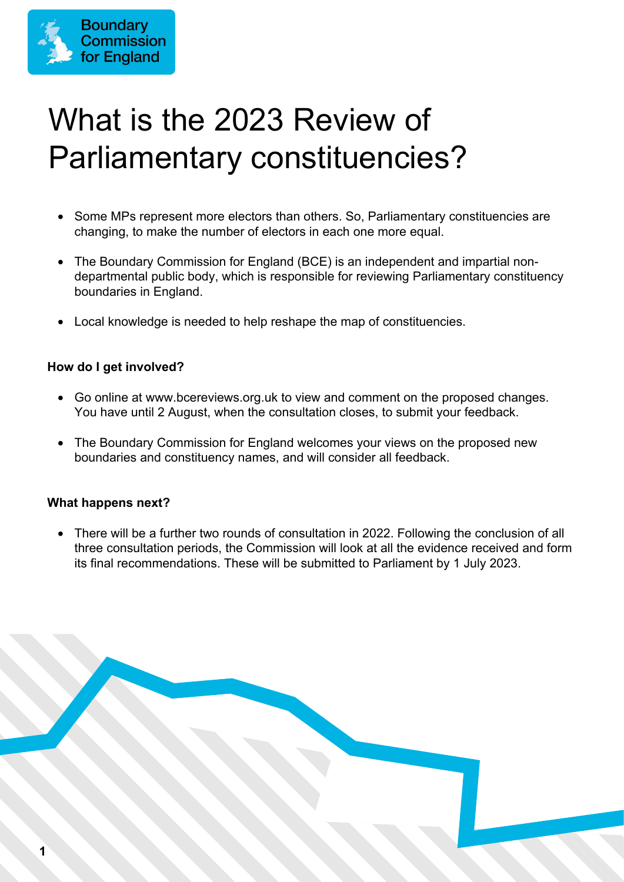

# What is the 2023 Review of Parliamentary constituencies?

- Some MPs represent more electors than others. So, Parliamentary constituencies are changing, to make the number of electors in each one more equal.
- The Boundary Commission for England (BCE) is an independent and impartial nondepartmental public body, which is responsible for reviewing Parliamentary constituency boundaries in England.
- Local knowledge is needed to help reshape the map of constituencies.

#### **How do I get involved?**

- Go online at www.bcereviews.org.uk to view and comment on the proposed changes. You have until 2 August, when the consultation closes, to submit your feedback.
- The Boundary Commission for England welcomes your views on the proposed new boundaries and constituency names, and will consider all feedback.

#### **What happens next?**

• There will be a further two rounds of consultation in 2022. Following the conclusion of all three consultation periods, the Commission will look at all the evidence received and form its final recommendations. These will be submitted to Parliament by 1 July 2023.